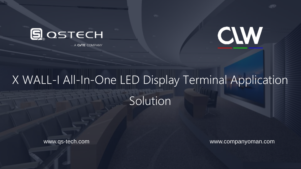



A CVTE COMPANY

# X WALL-I All-In-One LED Display Terminal Application Solution

www.qs-tech.com www.companyoman.com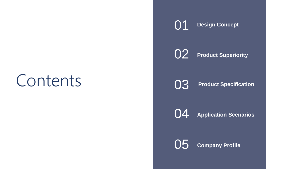# Contents

**Design Concept**

**Product Superiority**

**Product Specification** 

**Application Scenarios** 

**Company Profile**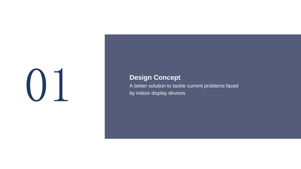

### **Design Concept**

**A better solution to tackle current problems faced by indoor display devices**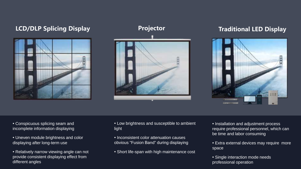### **LCD/DLP Splicing Display <b>Replection** Projector Traditional LED Display







- Conspicuous splicing seam and incomplete information displaying
- **.** Uneven module brightness and color displaying after long-term use
- **EXEL ATTE:** Relatively narrow viewing angle can not provide consistent displaying effect from different angles
- **.** Low brightness and susceptible to ambient light
- Inconsistent color attenuation causes obvious "Fusion Band" during displaying
- **.** Short life-span with high maintenance cost
- **.** Installation and adjustment process require professional personnel, which can be time and labor consuming
- **Extra external devices may require more** space
- Single interaction mode needs professional operation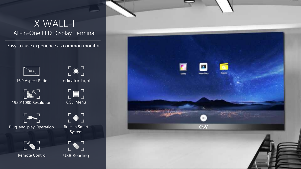### X WALL-I All-In-One LED Display Terminal

Easy-to-use experience as common monitor



16:9 Aspect Ratio





Indicator Light

E\*E







 $\begin{bmatrix} \bullet \\ \end{bmatrix}$ 

USB Reading

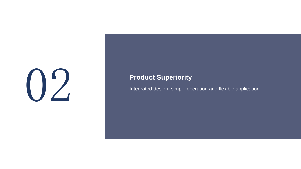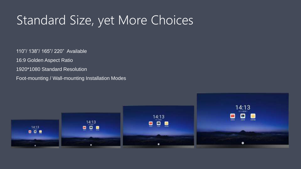# Standard Size, yet More Choices

110"/ 138"/ 165"/ 220" Available 16:9 Golden Aspect Ratio 1920\*1080 Standard Resolution Foot-mounting / Wall-mounting Installation Modes

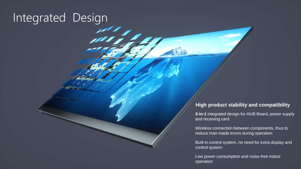### Integrated Design

#### **High product stability and compatibility**

**3-in-1** integrated design for HUB Board, power supply and receiving card

Wireless connection between components, thus to reduce man-made errors during operation

Built-in control system, no need for extra display and control system

Low power consumption and noise-free indoor **operation**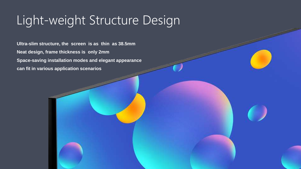# Light-weight Structure Design

**Ultra-slim structure, the screen is as thin as 38.5mm Neat design, frame thickness is only 2mm Space-saving installation modes and elegant appearance can fit in various application scenarios**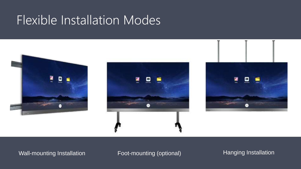# Flexible Installation Modes



#### Wall-mounting Installation **Foot-mounting (optional)** Hanging Installation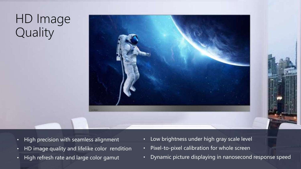# HD Image **Quality**



- High precision with seamless alignment
- HD image quality and lifelike color rendition
- High refresh rate and large color gamut
- Low brightness under high gray scale level
- Pixel-to-pixel calibration for whole screen
- Dynamic picture displaying in nanosecond response speed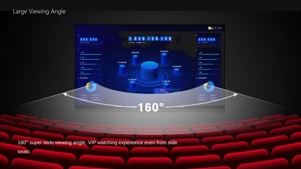#### Large Viewing Angle



160° super wide viewing angle, VIP watching experience even from side

seats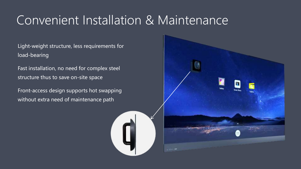# Convenient Installation & Maintenance

Light-weight structure, less requirements for load-bearing

Fast installation, no need for complex steel structure thus to save on-site space

Front-access design supports hot swapping without extra need of maintenance path



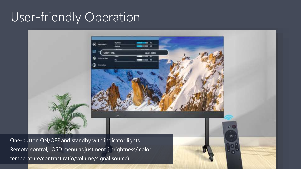# User-friendly Operation



One-button ON/OFF and standby with indicator lights Remote control, OSD menu adjustment ( brightness/ color temperature/contrast ratio/volume/signal source)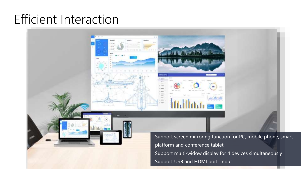# Efficient Interaction

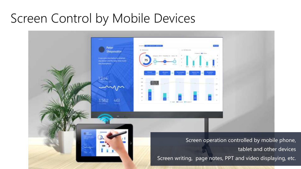# Screen Control by Mobile Devices

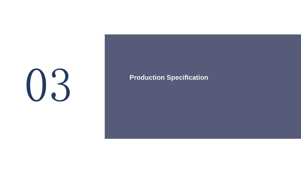# **Production Specification**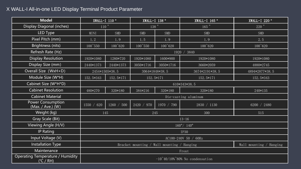#### X WALL-I All-in-one LED Display Terminal Product Parameter

| <b>Model</b>                                                  | XWALL-I 110 "                                                         |                  | $XWALL-I$ 138 "  |                  | $XXWALL-I$ 165 " | XWALL-I 220"            |  |  |  |
|---------------------------------------------------------------|-----------------------------------------------------------------------|------------------|------------------|------------------|------------------|-------------------------|--|--|--|
| Display Diagonal (inches)                                     | $110$ "                                                               |                  | 138 "            |                  | 165 "            | $220$ $^{\prime\prime}$ |  |  |  |
| LED Type                                                      | MINI                                                                  | <b>SMD</b>       | <b>SMD</b>       | <b>SMD</b>       | <b>SMD</b>       | <b>SMD</b>              |  |  |  |
| Pixel Pitch (mm)                                              | 1.2                                                                   | 1.9              | 1.5              | 1.9              | 1.9              | 2.5                     |  |  |  |
| Brightness (nits)                                             | $100^{\circ}550$                                                      | $100^{\circ}620$ | $100^{\circ}550$ | $100^{\circ}620$ | $100^{\circ}620$ | $100^{\circ}620$        |  |  |  |
| Refresh Rate (Hz)                                             | 1920 / 3840                                                           |                  |                  |                  |                  |                         |  |  |  |
| <b>Display Resolution</b>                                     | 1920*1080                                                             | 1280*720         | 1920*1080        | 1600*900         | 1920*1080        | 1920*1080               |  |  |  |
| Display Size (mm)                                             | 2440*1373                                                             | 2440*1373        | 3050*1716        | 3050*1716        | 3660*2059        | 4880*2745               |  |  |  |
| Overall Size (WxH×D)                                          | 2454*1505*38.5                                                        |                  | 3064*1848*38.5   |                  | 3674*2191*38.5   | 4894*2877*38.5          |  |  |  |
| Module Size (W*H)                                             | 152.5*343                                                             | 152.5*171        |                  | 152.5*171        | 152.5*171        | 152.5*343               |  |  |  |
| Cabinet Size (W*H*D)                                          | 610*343*38.5                                                          |                  |                  |                  |                  |                         |  |  |  |
| <b>Cabinet Resolution</b>                                     | 480*270                                                               | 320*180          | 384*216          | 320*180          | 320*180          | 240*135                 |  |  |  |
| <b>Cabinet Material</b>                                       | Die-casting aluminum                                                  |                  |                  |                  |                  |                         |  |  |  |
| <b>Power Consumption</b><br>$(Max. / Ave.)$ (W)               | 620<br>1550 /                                                         | 1260 / 500       | 2420 / 970       | 1970 / 790       | 2830 / 1130      | 6200 / 2480             |  |  |  |
| Weight (kg)                                                   | 145                                                                   |                  | 245              |                  | 300              | 515                     |  |  |  |
| Gray Scale (Bit)                                              | $13 - 16$                                                             |                  |                  |                  |                  |                         |  |  |  |
| Viewing Angle (H/V)                                           | $160^{\circ}/\overline{140^{\circ}}$                                  |                  |                  |                  |                  |                         |  |  |  |
| IP Rating                                                     | <b>IP30</b>                                                           |                  |                  |                  |                  |                         |  |  |  |
| Input Voltage (V)                                             | AC100-240V 50 / 60Hz                                                  |                  |                  |                  |                  |                         |  |  |  |
| <b>Installation Type</b>                                      | Bracket mounting / Wall mounting / Hanging<br>Wall mounting / Hanging |                  |                  |                  |                  |                         |  |  |  |
| Maintenance                                                   | Front                                                                 |                  |                  |                  |                  |                         |  |  |  |
| <b>Operating Temperature / Humidity</b><br>$(^{\circ}C / RH)$ | $-10^{\circ}40/10\%$ 80% No condensation                              |                  |                  |                  |                  |                         |  |  |  |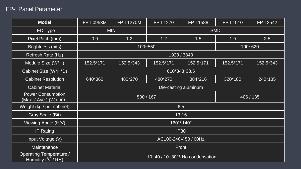#### FP-I Panel Parameter

| <b>Model</b>                                                    | FP-I 0953M                      | FP-I 1270M  | FP-I 1270  | FP-I 1588 | FP-I 1910 | FP-I 2542 |  |  |  |  |
|-----------------------------------------------------------------|---------------------------------|-------------|------------|-----------|-----------|-----------|--|--|--|--|
| <b>LED Type</b>                                                 |                                 | <b>MINI</b> | <b>SMD</b> |           |           |           |  |  |  |  |
| Pixel Pitch (mm)                                                | 0.9                             | 1.2         | 1.2        | 1.5       | 1.9       | 2.5       |  |  |  |  |
| Brightness (nits)                                               |                                 |             | 100~550    |           | 100~620   |           |  |  |  |  |
| Refresh Rate (Hz)                                               | 1920 / 3840                     |             |            |           |           |           |  |  |  |  |
| Module Size (W*H)                                               | 152.5*171                       | 152.5*343   | 152.5*171  | 152.5*171 | 152.5*171 | 152.5*343 |  |  |  |  |
| Cabinet Size (W*H*D)                                            | 610*343*38.5                    |             |            |           |           |           |  |  |  |  |
| <b>Cabinet Resolution</b>                                       | 640*360                         | 480*270     | 480*270    | 384*216   | 320*180   | 240*135   |  |  |  |  |
| <b>Cabinet Material</b>                                         | Die-casting aluminum            |             |            |           |           |           |  |  |  |  |
| <b>Power Consumption</b><br>(Max. / Ave.) (W / m <sup>2</sup> ) |                                 | 500 / 167   | 406 / 135  |           |           |           |  |  |  |  |
| Weight (kg / per cabinet)                                       | 6.5                             |             |            |           |           |           |  |  |  |  |
| Gray Scale (Bit)                                                | $13 - 16$                       |             |            |           |           |           |  |  |  |  |
| Viewing Angle (H/V)                                             | 160°/140°                       |             |            |           |           |           |  |  |  |  |
| <b>IP Rating</b>                                                | <b>IP30</b>                     |             |            |           |           |           |  |  |  |  |
| Input Voltage (V)                                               | AC100-240V 50 / 60Hz            |             |            |           |           |           |  |  |  |  |
| Maintenance                                                     | Front                           |             |            |           |           |           |  |  |  |  |
| Operating Temperature /<br>Humidity (°C / RH)                   | -10~40 / 10~80% No condensation |             |            |           |           |           |  |  |  |  |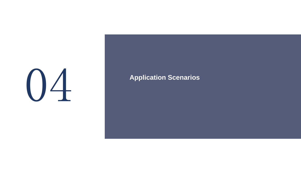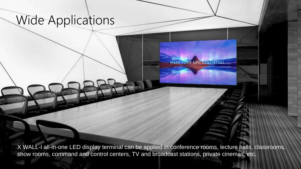## Wide Applications

MAKE YOUR LIFE COLORFULL

X WALL-I all-in-one LED display terminal can be applied in conference rooms, lecture halls, classrooms, show rooms, command and control centers, TV and broadcast stations, private cinemas, etc.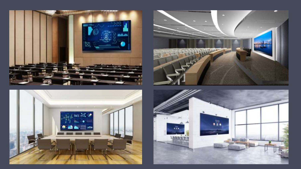





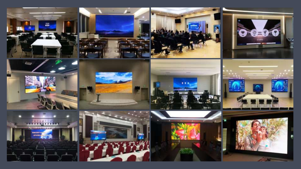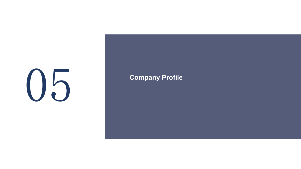# **Company Profile**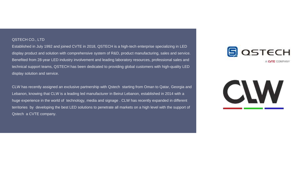#### QSTECH CO., LTD

Established in July 1992 and joined CVTE in 2018, QSTECH is a high-tech enterprise specializing in LED display product and solution with comprehensive system of R&D, product manufacturing, sales and service. Benefited from 28-year LED industry involvement and leading laboratory resources, professional sales and technical support teams, QSTECH has been dedicated to providing global customers with high-quality LED display solution and service.

CLW has recently assigned an exclusive partnership with Qstech starting from Oman to Qatar, Georgia and Lebanon, knowing that CLW is a leading led manufacturer in Beirut Lebanon, established in 2014 with a huge experience in the world of technology, media and signage . CLW has recently expanded in different territories by developing the best LED solutions to penetrate all markets on a high level with the support of Qstech a CVTE company.

### **S** OSTECH A CVTE COMPANY

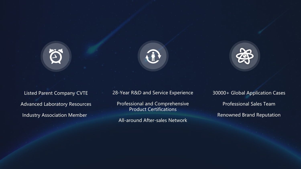





Listed Parent Company CVTE Advanced Laboratory Resources Industry Association Member

28-Year R&D and Service Experience

Professional and Comprehensive Product Certifications

All-around After-sales Network

30000+ Global Application Cases Professional Sales Team Renowned Brand Reputation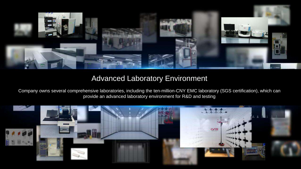

### Advanced Laboratory Environment

Company owns several comprehensive laboratories, including the ten-million-CNY EMC laboratory (SGS certification), which can provide an advanced laboratory environment for R&D and testing